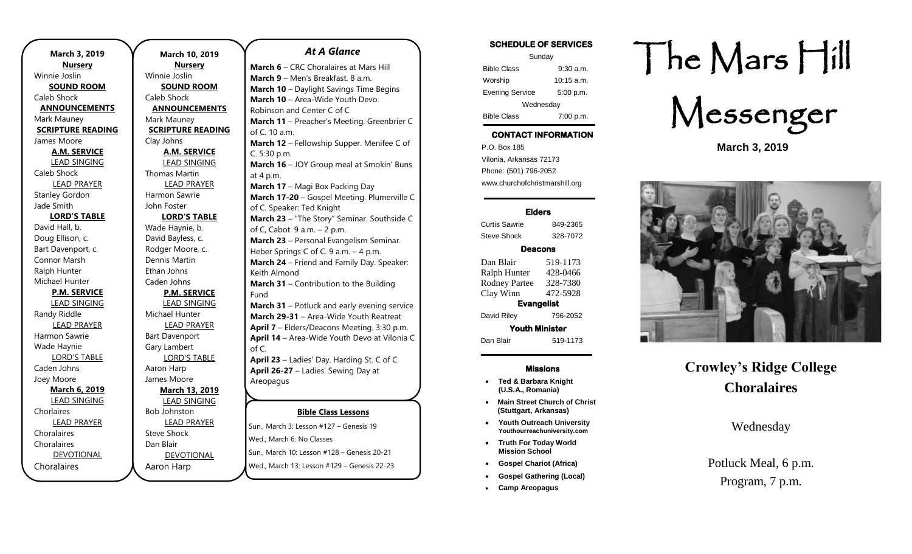| March 3, 2019            | March 1             |
|--------------------------|---------------------|
| <b>Nursery</b>           | <b>Nurs</b>         |
| Winnie Joslin            | Winnie Joslin       |
| <b>SOUND ROOM</b>        | <b>SOUND</b>        |
| Caleb Shock              | Caleb Shock         |
| <b>ANNOUNCEMENTS</b>     | <b>ANNOUN</b>       |
| Mark Mauney              | Mark Mauney         |
| <b>SCRIPTURE READING</b> | <b>SCRIPTURE</b>    |
| James Moore              | Clay Johns          |
| <b>A.M. SERVICE</b>      | <b>A.M. SE</b>      |
| <b>LEAD SINGING</b>      | <b>LEAD SII</b>     |
| Caleb Shock              | <b>Thomas Mart</b>  |
| <b>LEAD PRAYER</b>       | <b>LEAD PI</b>      |
| <b>Stanley Gordon</b>    | Harmon Saw          |
| Jade Smith               | John Foster         |
| <b>LORD'S TABLE</b>      | LORD'S              |
| David Hall, b.           | Wade Haynie         |
| Doug Ellison, c.         | David Bayless       |
| Bart Davenport, c.       | Rodger Moor         |
| Connor Marsh             | Dennis Marti        |
| Ralph Hunter             | Ethan Johns         |
| Michael Hunter           | Caden Johns         |
| <b>P.M. SERVICE</b>      | P.M. SE             |
| <b>LEAD SINGING</b>      | <b>LEAD SII</b>     |
| Randy Riddle             | Michael Hunt        |
| <b>LEAD PRAYER</b>       | <b>LEAD PI</b>      |
| Harmon Sawrie            | <b>Bart Davenpo</b> |
| Wade Haynie              | Gary Lambert        |
| <b>LORD'S TABLE</b>      | LORD'S              |
| Caden Johns              | Aaron Harp          |
| Joey Moore               | James Moore         |
| <b>March 6, 2019</b>     | March 1             |
| <b>LEAD SINGING</b>      | <b>LEAD SII</b>     |
| Chorlaires               | <b>Bob Johnstor</b> |
| <b>LEAD PRAYER</b>       | <b>LEAD PI</b>      |
| Choralaires              | <b>Steve Shock</b>  |
| Choralaires              | Dan Blair           |
| <b>DEVOTIONAL</b>        | <b>DEVOTI</b>       |
| Choralaires              | Aaron Harp          |

**March 10, 2019 Nursery** Winnie Joslin **SOUND ROOM** Caleb Shock **ANNOUNCEMENTS** Mark Mauney **SCRIPTURE READING** Clay Johns **A.M. SERVICE** LEAD SINGING Thomas Martin LEAD PRAYER Harmon Sawrie John Foster **LORD'S TABLE** Wade Haynie, b. David Bayless, c. Rodger Moore, c. Dennis Martin Ethan Johns Caden Johns **P.M. SERVICE** LEAD SINGING Michael Hunter LEAD PRAYER Bart Davenport Gary Lambert LORD'S TABLE Aaron Harp James Moore **March 13, 2019** LEAD SINGING Bob Johnston LEAD PRAYER Steve Shock Dan Blair DEVOTIONAL

## *At A Glance*

**Bible Class Lessons March 6** – CRC Choralaires at Mars Hill **March 9** – Men's Breakfast. 8 a.m. **March 10** – Daylight Savings Time Begins **March 10** – Area-Wide Youth Devo. Robinson and Center C of C **March 11** – Preacher's Meeting. Greenbrier C of C. 10 a.m. **March 12** – Fellowship Supper. Menifee C of C. 5:30 p.m. **March 16** – JOY Group meal at Smokin' Buns at 4 p.m. **March 17** – Magi Box Packing Day **March 17-20** – Gospel Meeting. Plumerville C of C. Speaker: Ted Knight **March 23** – "The Story" Seminar. Southside C of C, Cabot. 9 a.m. – 2 p.m. **March 23** – Personal Evangelism Seminar. Heber Springs C of C. 9 a.m. - 4 p.m. **March 24** – Friend and Family Day. Speaker: Keith Almond **March 31** – Contribution to the Building Fund **March 31** – Potluck and early evening service **March 29-31** – Area-Wide Youth Reatreat **April 7** – Elders/Deacons Meeting. 3:30 p.m. **April 14** – Area-Wide Youth Devo at Vilonia C of C. **April 23** – Ladies' Day. Harding St. C of C **April 26-27** – Ladies' Sewing Day at Areopagus **April 27-28** – Gospel Meeting. Downtown,

Sun., March 3: Lesson #127 – Genesis 19 Wed., March 6: No Classes sun., March 10: Lesson #128 – Genesis 20-21 **April 28 Contribution to the Building Funds of Contribution of the Building Funds Funds Funds Funds** 

Wed., March 13: Lesson #129 – Genesis 22-23

**July 7-12** – Gospel Gathering. Robinson and

## **SCHEDULE OF SERVICES**

| Sunday                 |              |  |
|------------------------|--------------|--|
| <b>Bible Class</b>     | $9:30$ a.m.  |  |
| Worship                | $10:15$ a.m. |  |
| <b>Evening Service</b> | 5:00 p.m.    |  |
| Wednesday              |              |  |
| <b>Bible Class</b>     | 7:00 p.m.    |  |

# **CONTACT INFORMATION**

. .o. Box 166<br>Vilonia, Arkansas 72173 P.O. Box 185 Phone: (501) 796-2052 www.churchofchristmarshill.org

## **Elders**

Curtis Sawrie 849-2365 Steve Shock 328-7072

## **Deacons**

Dan Blair 519-1173 Ralph Hunter 428-0466 Rodney Partee 328-7380 Clay Winn 472-5928 **Evangelist** 

David Riley 796-2052 **Youth Minister** 

Dan Blair 519-1173

## **Missions**

- **Ted & Barbara Knight (U.S.A., Romania)**
- **Main Street Church of Christ (Stuttgart, Arkansas)**
- **Youth Outreach University Youthourreachuniversity.com**
- **Truth For Today World Mission School**
- **Gospel Chariot (Africa)**
- **Gospel Gathering (Local)**
- **Camp Areopagus**

# The Mars Hill



**March 3, 2019**



# **Crowley's Ridge College Choralaires**

## Wednesday

# Potluck Meal, 6 p.m. Program, 7 p.m.